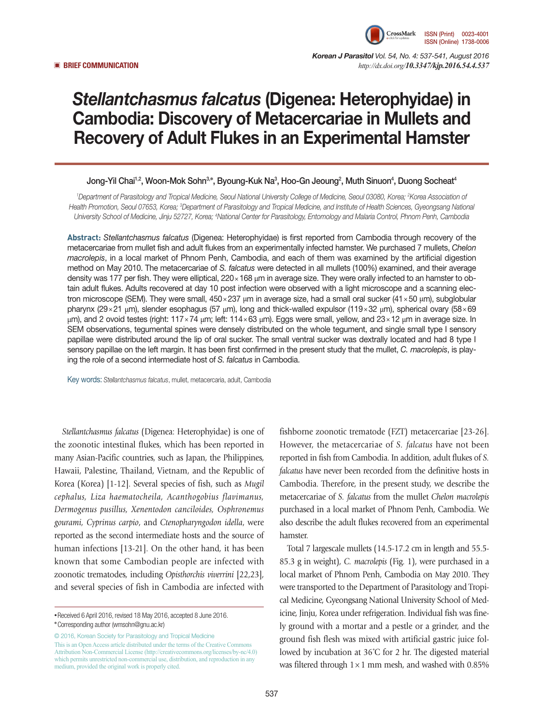

*Korean J Parasitol Vol. 54, No. 4: 537-541, August 2016*  ▣ **BRIEF COMMUNICATION** *http://dx.doi.org/10.3347/kjp.2016.54.4.537*

# *Stellantchasmus falcatus* (Digenea: Heterophyidae) in Cambodia: Discovery of Metacercariae in Mullets and Recovery of Adult Flukes in an Experimental Hamster

# Jong-Yil Chai<sup>1,2</sup>, Woon-Mok Sohn<sup>3,</sup>\*, Byoung-Kuk Na<sup>3</sup>, Hoo-Gn Jeoung<sup>2</sup>, Muth Sinuon<sup>4</sup>, Duong Socheat<sup>4</sup>

<sup>1</sup>Department of Parasitology and Tropical Medicine, Seoul National University College of Medicine, Seoul 03080, Korea; <sup>2</sup>Korea Association of *Health Promotion, Seoul 07653, Korea; 3 Department of Parasitology and Tropical Medicine, and Institute of Health Sciences, Gyeongsang National University School of Medicine, Jinju 52727, Korea; 4 National Center for Parasitology, Entomology and Malaria Control, Phnom Penh, Cambodia*

**Abstract:** *Stellantchasmus falcatus* (Digenea: Heterophyidae) is first reported from Cambodia through recovery of the metacercariae from mullet fish and adult flukes from an experimentally infected hamster. We purchased 7 mullets, *Chelon macrolepis*, in a local market of Phnom Penh, Cambodia, and each of them was examined by the artificial digestion method on May 2010. The metacercariae of *S. falcatus* were detected in all mullets (100%) examined, and their average density was 177 per fish. They were elliptical, 220×168 μm in average size. They were orally infected to an hamster to obtain adult flukes. Adults recovered at day 10 post infection were observed with a light microscope and a scanning electron microscope (SEM). They were small, 450×237 μm in average size, had a small oral sucker (41×50 μm), subglobular pharynx (29×21 μm), slender esophagus (57 μm), long and thick-walled expulsor (119×32 μm), spherical ovary (58×69 μm), and 2 ovoid testes (right: 117×74 μm; left: 114×63 μm). Eggs were small, yellow, and 23×12 μm in average size. In SEM observations, tegumental spines were densely distributed on the whole tegument, and single small type I sensory papillae were distributed around the lip of oral sucker. The small ventral sucker was dextrally located and had 8 type I sensory papillae on the left margin. It has been first confirmed in the present study that the mullet, *C. macrolepis*, is playing the role of a second intermediate host of *S. falcatus* in Cambodia.

Key words: *Stellantchasmus falcatus*, mullet, metacercaria, adult, Cambodia

*Stellantchasmus falcatus* (Digenea: Heterophyidae) is one of the zoonotic intestinal flukes, which has been reported in many Asian-Pacific countries, such as Japan, the Philippines, Hawaii, Palestine, Thailand, Vietnam, and the Republic of Korea (Korea) [1-12]. Several species of fish, such as *Mugil cephalus, Liza haematocheila, Acanthogobius flavimanus, Dermogenus pusillus, Xenentodon canciloides, Osphronemus gourami, Cyprinus carpio*, and *Ctenopharyngodon idella*, were reported as the second intermediate hosts and the source of human infections [13-21]. On the other hand, it has been known that some Cambodian people are infected with zoonotic trematodes, including *Opisthorchis viverrini* [22,23], and several species of fish in Cambodia are infected with

© 2016, Korean Society for Parasitology and Tropical Medicine This is an Open Access article distributed under the terms of the Creative Commons Attribution Non-Commercial License (http://creativecommons.org/licenses/by-nc/4.0) which permits unrestricted non-commercial use, distribution, and reproduction in any medium, provided the original work is properly cited.

fishborne zoonotic trematode (FZT) metacercariae [23-26]. However, the metacercariae of *S. falcatus* have not been reported in fish from Cambodia. In addition, adult flukes of *S. falcatus* have never been recorded from the definitive hosts in Cambodia. Therefore, in the present study, we describe the metacercariae of *S. falcatus* from the mullet *Chelon macrolepis* purchased in a local market of Phnom Penh, Cambodia. We also describe the adult flukes recovered from an experimental hamster.

Total 7 largescale mullets (14.5-17.2 cm in length and 55.5- 85.3 g in weight), *C. macrolepis* (Fig. 1), were purchased in a local market of Phnom Penh, Cambodia on May 2010. They were transported to the Department of Parasitology and Tropical Medicine, Gyeongsang National University School of Medicine, Jinju, Korea under refrigeration. Individual fish was finely ground with a mortar and a pestle or a grinder, and the ground fish flesh was mixed with artificial gastric juice followed by incubation at 36˚C for 2 hr. The digested material was filtered through  $1 \times 1$  mm mesh, and washed with 0.85%

**<sup>•</sup>**Received 6 April 2016, revised 18 May 2016, accepted 8 June 2016.

**<sup>\*</sup>**Corresponding author (wmsohn@gnu.ac.kr)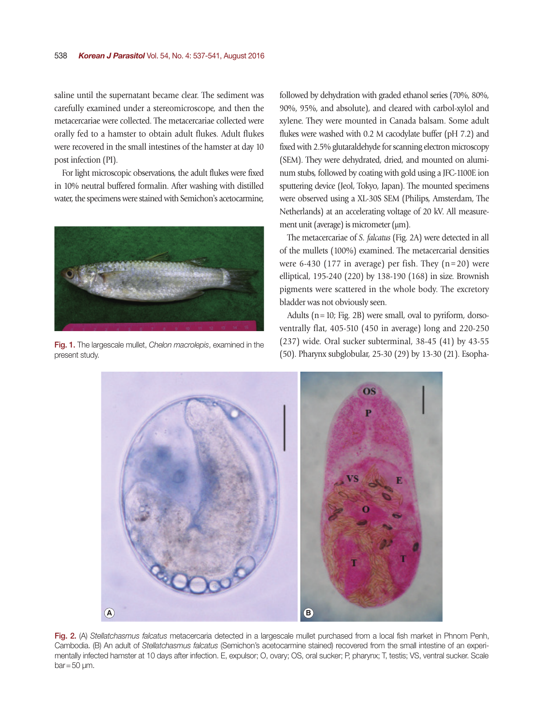saline until the supernatant became clear. The sediment was carefully examined under a stereomicroscope, and then the metacercariae were collected. The metacercariae collected were orally fed to a hamster to obtain adult flukes. Adult flukes were recovered in the small intestines of the hamster at day 10 post infection (PI).

For light microscopic observations, the adult flukes were fixed in 10% neutral buffered formalin. After washing with distilled water, the specimens were stained with Semichon's acetocarmine,



Fig. 1. The largescale mullet, *Chelon macrolepis*, examined in the present study.

followed by dehydration with graded ethanol series (70%, 80%, 90%, 95%, and absolute), and cleared with carbol-xylol and xylene. They were mounted in Canada balsam. Some adult flukes were washed with 0.2 M cacodylate buffer (pH 7.2) and fixed with 2.5% glutaraldehyde for scanning electron microscopy (SEM). They were dehydrated, dried, and mounted on aluminum stubs, followed by coating with gold using a JFC-1100E ion sputtering device (Jeol, Tokyo, Japan). The mounted specimens were observed using a XL-30S SEM (Philips, Amsterdam, The Netherlands) at an accelerating voltage of 20 kV. All measurement unit (average) is micrometer (μm).

The metacercariae of *S. falcatus* (Fig. 2A) were detected in all of the mullets (100%) examined. The metacercarial densities were 6-430 (177 in average) per fish. They  $(n=20)$  were elliptical, 195-240 (220) by 138-190 (168) in size. Brownish pigments were scattered in the whole body. The excretory bladder was not obviously seen.

Adults  $(n=10; Fig. 2B)$  were small, oval to pyriform, dorsoventrally flat, 405-510 (450 in average) long and 220-250 (237) wide. Oral sucker subterminal, 38-45 (41) by 43-55 (50). Pharynx subglobular, 25-30 (29) by 13-30 (21). Esopha-



Fig. 2. (A) *Stellatchasmus falcatus* metacercaria detected in a largescale mullet purchased from a local fish market in Phnom Penh, Cambodia. (B) An adult of *Stellatchasmus falcatus* (Semichon's acetocarmine stained) recovered from the small intestine of an experimentally infected hamster at 10 days after infection. E, expulsor; O, ovary; OS, oral sucker; P, pharynx; T, testis; VS, ventral sucker. Scale  $bar=50 \mu m$ .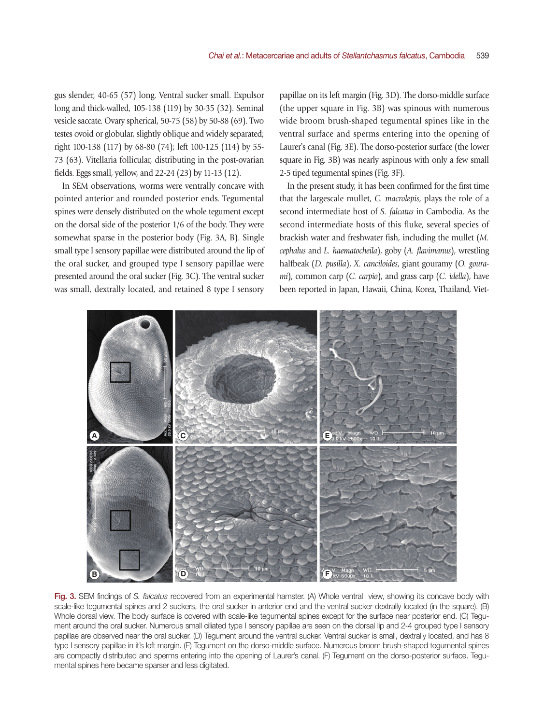gus slender, 40-65 (57) long. Ventral sucker small. Expulsor long and thick-walled, 105-138 (119) by 30-35 (32). Seminal vesicle saccate. Ovary spherical, 50-75 (58) by 50-88 (69). Two testes ovoid or globular, slightly oblique and widely separated; right 100-138 (117) by 68-80 (74); left 100-125 (114) by 55- 73 (63). Vitellaria follicular, distributing in the post-ovarian fields. Eggs small, yellow, and 22-24 (23) by 11-13 (12).

In SEM observations, worms were ventrally concave with pointed anterior and rounded posterior ends. Tegumental spines were densely distributed on the whole tegument except on the dorsal side of the posterior 1/6 of the body. They were somewhat sparse in the posterior body (Fig. 3A, B). Single small type I sensory papillae were distributed around the lip of the oral sucker, and grouped type I sensory papillae were presented around the oral sucker (Fig. 3C). The ventral sucker was small, dextrally located, and retained 8 type I sensory papillae on its left margin (Fig. 3D). The dorso-middle surface (the upper square in Fig. 3B) was spinous with numerous wide broom brush-shaped tegumental spines like in the ventral surface and sperms entering into the opening of Laurer's canal (Fig. 3E). The dorso-posterior surface (the lower square in Fig. 3B) was nearly aspinous with only a few small 2-5 tiped tegumental spines (Fig. 3F).

In the present study, it has been confirmed for the first time that the largescale mullet, *C. macrolepis*, plays the role of a second intermediate host of *S. falcatus* in Cambodia. As the second intermediate hosts of this fluke, several species of brackish water and freshwater fish, including the mullet (*M. cephalus* and *L. haematocheila*), goby (*A. flavimanus*), wrestling halfbeak (*D. pusilla*), *X. canciloides*, giant gouramy (*O. gourami*), common carp (*C. carpio*), and grass carp (*C. idella*), have been reported in Japan, Hawaii, China, Korea, Thailand, Viet-



Fig. 3. SEM findings of *S. falcatus* recovered from an experimental hamster. (A) Whole ventral view, showing its concave body with scale-like tegumental spines and 2 suckers, the oral sucker in anterior end and the ventral sucker dextrally located (in the square). (B) Whole dorsal view. The body surface is covered with scale-like tegumental spines except for the surface near posterior end. (C) Tegument around the oral sucker. Numerous small ciliated type I sensory papillae are seen on the dorsal lip and 2-4 grouped type I sensory papillae are observed near the oral sucker. (D) Tegument around the ventral sucker. Ventral sucker is small, dextrally located, and has 8 type I sensory papillae in it's left margin. (E) Tegument on the dorso-middle surface. Numerous broom brush-shaped tegumental spines are compactly distributed and sperms entering into the opening of Laurer's canal. (F) Tegument on the dorso-posterior surface. Tegumental spines here became sparser and less digitated.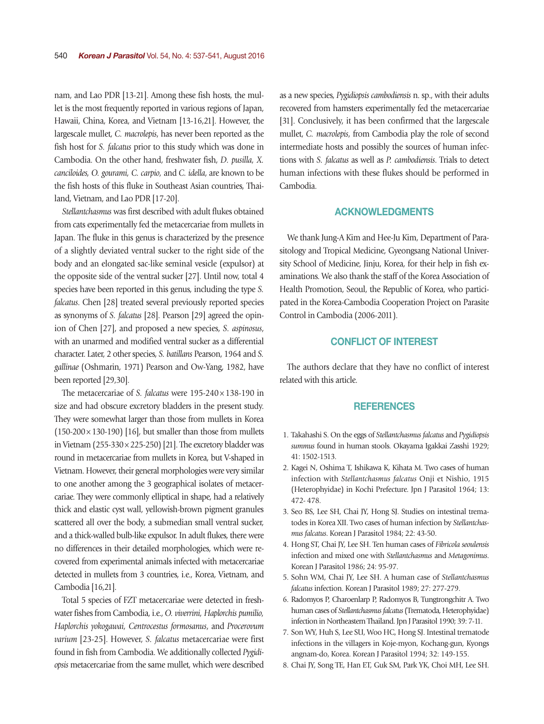nam, and Lao PDR [13-21]. Among these fish hosts, the mullet is the most frequently reported in various regions of Japan, Hawaii, China, Korea, and Vietnam [13-16,21]. However, the largescale mullet, *C. macrolepis*, has never been reported as the fish host for *S. falcatus* prior to this study which was done in Cambodia. On the other hand, freshwater fish, *D. pusilla, X. canciloides, O. gourami, C. carpio,* and *C. idella*, are known to be the fish hosts of this fluke in Southeast Asian countries, Thailand, Vietnam, and Lao PDR [17-20].

*Stellantchasmus* was first described with adult flukes obtained from cats experimentally fed the metacercariae from mullets in Japan. The fluke in this genus is characterized by the presence of a slightly deviated ventral sucker to the right side of the body and an elongated sac-like seminal vesicle (expulsor) at the opposite side of the ventral sucker [27]. Until now, total 4 species have been reported in this genus, including the type *S. falcatus*. Chen [28] treated several previously reported species as synonyms of *S. falcatus* [28]. Pearson [29] agreed the opinion of Chen [27], and proposed a new species, *S. aspinosus*, with an unarmed and modified ventral sucker as a differential character. Later, 2 other species, *S. batillans* Pearson, 1964 and *S. gallinae* (Oshmarin, 1971) Pearson and Ow-Yang, 1982, have been reported [29,30].

The metacercariae of *S. falcatus* were 195-240×138-190 in size and had obscure excretory bladders in the present study. They were somewhat larger than those from mullets in Korea  $(150-200\times130-190)$  [16], but smaller than those from mullets in Vietnam (255-330×225-250) [21]. The excretory bladder was round in metacercariae from mullets in Korea, but V-shaped in Vietnam. However, their general morphologies were very similar to one another among the 3 geographical isolates of metacercariae. They were commonly elliptical in shape, had a relatively thick and elastic cyst wall, yellowish-brown pigment granules scattered all over the body, a submedian small ventral sucker, and a thick-walled bulb-like expulsor. In adult flukes, there were no differences in their detailed morphologies, which were recovered from experimental animals infected with metacercariae detected in mullets from 3 countries, i.e., Korea, Vietnam, and Cambodia [16,21].

Total 5 species of FZT metacercariae were detected in freshwater fishes from Cambodia, i.e., *O. viverrini, Haplorchis pumilio, Haplorchis yokogawai, Centrocestus formosanus*, and *Procerovum varium* [23-25]. However, *S. falcatus* metacercariae were first found in fish from Cambodia. We additionally collected *Pygidiopsis* metacercariae from the same mullet, which were described as a new species, *Pygidiopsis cambodiensis* n. sp., with their adults recovered from hamsters experimentally fed the metacercariae [31]. Conclusively, it has been confirmed that the largescale mullet, *C. macrolepis*, from Cambodia play the role of second intermediate hosts and possibly the sources of human infections with *S. falcatus* as well as *P. cambodiensis*. Trials to detect human infections with these flukes should be performed in Cambodia.

#### ACKNOWLEDGMENTS

We thank Jung-A Kim and Hee-Ju Kim, Department of Parasitology and Tropical Medicine, Gyeongsang National University School of Medicine, Jinju, Korea, for their help in fish examinations. We also thank the staff of the Korea Association of Health Promotion, Seoul, the Republic of Korea, who participated in the Korea-Cambodia Cooperation Project on Parasite Control in Cambodia (2006-2011).

## CONFLICT OF INTEREST

The authors declare that they have no conflict of interest related with this article.

### **REFERENCES**

- 1. Takahashi S. On the eggs of *Stellantchasmus falcatus* and *Pygidiopsis summus* found in human stools. Okayama Igakkai Zasshi 1929; 41: 1502-1513.
- 2. Kagei N, Oshima T, Ishikawa K, Kihata M. Two cases of human infection with *Stellantchasmus falcatus* Onji et Nishio, 1915 (Heterophyidae) in Kochi Prefecture. Jpn J Parasitol 1964; 13: 472- 478.
- 3. Seo BS, Lee SH, Chai JY, Hong SJ. Studies on intestinal trematodes in Korea XII. Two cases of human infection by *Stellantchasmus falcatus*. Korean J Parasitol 1984; 22: 43-50.
- 4. Hong ST, Chai JY, Lee SH. Ten human cases of *Fibricola seoulensis* infection and mixed one with *Stellantchasmus* and *Metagonimus*. Korean J Parasitol 1986; 24: 95-97.
- 5. Sohn WM, Chai JY, Lee SH. A human case of *Stellantchasmus falcatus* infection. Korean J Parasitol 1989; 27: 277-279.
- 6. Radomyos P, Charoenlarp P, Radomyos B, Tungtrongchitr A. Two human cases of *Stellantchasmus falcatus* (Trematoda, Heterophyidae) infection in Northeastern Thailand. Jpn J Parasitol 1990; 39: 7-11.
- 7. Son WY, Huh S, Lee SU, Woo HC, Hong SJ. Intestinal trematode infections in the villagers in Koje-myon, Kochang-gun, Kyongs angnam-do, Korea. Korean J Parasitol 1994; 32: 149-155.
- 8. Chai JY, Song TE, Han ET, Guk SM, Park YK, Choi MH, Lee SH.